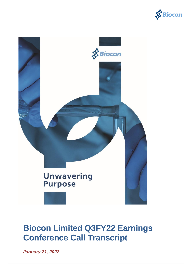



# **Biocon Limited Q3FY22 Earnings Conference Call Transcript**

*January 21, 2022*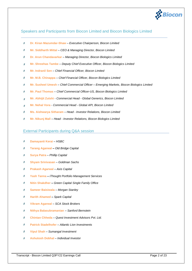

## Speakers and Participants from Biocon Limited and Biocon Biologics Limited

- **Dr. Kiran Mazumdar-Shaw**  *Executive Chairperson, Biocon Limited* Š
- 睿 **Mr. Siddharth Mittal** – *CEO & Managing Director, Biocon Limited*
- 客 **Dr. Arun Chandavarkar** – *Managing Director, Biocon Biologics Limited*
- **Mr. Shreehas Tambe**  *Deputy Chief Executive Officer, Biocon Biologics Limited* 愛
- **Mr. Indranil Sen** *Chief Financial Officer, Biocon Limited* 睿
- **Mr. M.B. Chinappa**  *Chief Financial Officer, Biocon Biologics Limited* Š
- $\mathcal{S}$ **Mr. Susheel Umesh** – *Chief Commercial Officer – Emerging Markets, Biocon Biologics Limited*
- s. **Mr. Paul Thomas** – *Chief Commercial Officer-US, Biocon Biologics Limited*
- **Mr. Abhijit Zutshi** *- Commercial Head - Global Generics, Biocon Limited*   $\mathbf{R}$
- **Mr. Nehal Vora** *- Commercial Head - Global API, Biocon Limited* \$
- Š. **Ms. Aishwarya Sitharam** – *Head - Investor Relations, Biocon Limited*
- **Mr. Nikunj Mall**  *Head - Investor Relations, Biocon Biologics Limited* Š.

## External Participants during Q&A session

- 睿 **Damayanti Kerai** – *HSBC*
- Š **Tarang Agarwal –** *Old Bridge Capital*
- $\mathcal{S}$ **Surya Patra** – *Phillip Capital*
- $\vec{p}$ **Shyam Srinivasan** – *Goldman Sachs*
- **Prakash Agarwal**  *Axis Capital*  $\overline{\mathbf{S}}$
- Š **Yash Tanna –** *iThought Portfolio Management Services*
- $\hat{\mathbf{x}}$ **Nitin Shakdher –** *Green Capital Single Family Office*
- **R Sameer Baisiwala** – *Morgan Stanley*
- 求 **Harith Ahamed –** *Spark Capital*
- \$ **Vikram Agarwal** *– SCA Stock Brokers*
- **Nithya Balasubramanian** *– Sanford Bernstein* ś
- Š. **Chintan Chheda** – *Quest Investment Advisors Pvt. Ltd.*
- **Patrick Stadelhofer** *– Atlantic Lion Investments* Š.
- Š **Vipul Shah** *– Sumangal Investment*
- $\vec{X}$ **Ashutosh Dobhal** *– Individual Investor*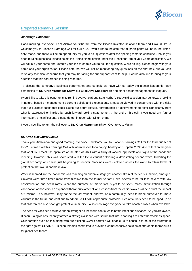

### Prepared Remarks Session

#### *Aishwarya Sitharam:*

Good morning, everyone. I am Aishwarya Sitharam from the Biocon Investor Relations team and I would like to welcome you to Biocon's Earnings Call for Q3FY22. I would like to indicate that all participants will be in the 'listenonly' mode, and there will be an opportunity for you to ask questions after the opening remarks conclude. Should you need to raise questions, please select the 'Raise Hand' option under the 'Reactions' tab of your Zoom application. We will call out your name and unmute your line to enable you to ask the question. While asking, please begin with your name and your organization. Please note that we will not be monitoring any questions on the chat box, but you can raise any technical concerns that you may be facing for our support team to help. I would also like to bring to your attention that this conference is being recorded.

To discuss the company's business performance and outlook, we have with us today the Biocon leadership team comprising of **Dr. Kiran Mazumdar-Shaw**, our **Executive Chairperson** and other senior management colleagues.

I would like to take this opportunity to remind everyone about 'Safe Harbor'. Today's discussion may be forward looking in nature, based on management's current beliefs and expectations. It must be viewed in concurrence with the risks that our business faces that could cause our future results, performance or achievements to differ significantly from what is expressed or implied by such forward looking statements. At the end of this call, if you need any further information, or clarifications, please do get in touch with Nikunj or me.

I would now like to turn the call over to **Dr. Kiran Mazumdar-Shaw**. Over to you, Ma'am.

#### *Dr. Kiran Mazumdar-Shaw:*

Thank you, Aishwarya and good morning, everyone. I welcome you to Biocon's Earnings Call for the third quarter of FY22. Let me start this Earnings Call with warm wishes for a happy, healthy and hopeful 2022. As I reflect on the year that went by, I recall the optimism at the start of 2021 with a flurry of vaccine approvals and signs of the pandemic receding. However, this was short lived with the Delta variant delivering a devastating second wave, thwarting the global economy which was just beginning to recover. Vaccines were deployed across the world to attain levels of protection that would enable revival.

When it seemed like the pandemic was reaching an endemic stage yet another strain of the virus, Omicron, emerged. Omicron were three times more transmissible than the former variant Delta, seems to be far less severe with low hospitalization and death rates. While the outcome of this variant is yet to be seen, mass immunization through vaccination or boosters, an expanded therapeutic arsenal, and lessons from the earlier waves will help blunt the impact of Omicron. This, however, may not be the last variant, and we, as a community, need to brace ourselves for more variants in the future and continue to adhere to COVID appropriate protocols. Pediatric trials need to be sped up so that children can also soon get protective immunity. I also encourage everyone to take booster doses when available.

The need for vaccines has never been stronger as the world continues to battle infectious diseases. As you are aware, Biocon Biologics has recently formed a strategic alliance with Serum Institute, enabling it to enter the vaccines space. Collaboration such as this along with our existing COVID portfolio will enable us to continue to be at the forefront in the fight against COVID-19. Biocon remains committed to provide a comprehensive solution of affordable therapeutics for global healthcare.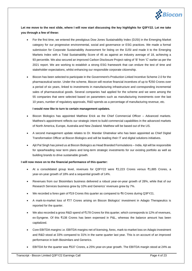

**Let me move to the next slide, where I will now start discussing the key highlights for Q3FY22. Let me take you through a few of these:**

- For the first time, we entered the prestigious Dow Jones Sustainability Index (DJSI) in the Emerging Market category for our progressive environmental, social and governance or ESG practices. We made a formal submission for Corporate Sustainability Assessment for listing on the DJSI and made it to the Emerging Markets Index with a Total Sustainability Score of 45 as against an industry average of 18, achieving a 93 percentile. We also secured an improved Carbon Disclosure Project rating of 'B' from 'C' earlier as per the 2021 report. We are working to establish a strong ESG framework that can endure the test of time and stakeholder expectations, whilst enhancing our responsible corporate citizenship.
- Biocon has been selected to participate in the Government's Production Linked Incentive Scheme 2.0 for the pharmaceutical sector. Under the scheme, Biocon will receive financial incentives of up to ₹250 Crores over a period of six years, linked to investments in manufacturing infrastructure and corresponding incremental sales of pharmaceutical goods. Several companies had applied for the scheme and we were among the 55 companies that were selected based on parameters such as manufacturing investments over the last 10 years, number of regulatory approvals, R&D spends as a percentage of manufacturing revenue, etc.

#### **I would now like to turn to certain management updates.**

- Biocon Biologics has appointed Matthew Erick as the Chief Commercial Officer Advanced markets. Matthew's appointment reflects our strategic intent to build commercial capabilities in the advanced markets of North America, Europe, Australia and New Zealand. Matthew will be based out of the US.
- A second management update relates to Dr. Mandar Ghatnekar who has been appointed as Chief Digital Transformation Officer at Biocon Biologics and will be leading their IT and digital solutions initiatives.
- Ajit Pal Singh has joined us at Biocon Biologics as Head Branded Formulations India. Ajit will be responsible for spearheading near term plans and long-term strategic investments for our existing portfolio as well as building brands to drive sustainable growth.

#### **I will now move on to the financial performance of this quarter:**

- At a consolidated group level, revenues for Q3FY22 were ₹2,223 Crores versus ₹1,885 Crores, a year-on-year growth of 18% and a sequential growth of 14%.
- Revenues from our Biosimilars business delivered a robust year-on-year growth of 28%, while that of our Research Services business grew by 10% and Generics' revenues grew by 7%.
- We recorded a forex gain of ₹19 Crores this quarter as compared to ₹6 Crores during Q3FY21.
- A mark-to-market loss of ₹77 Crores arising on Biocon Biologics' investment in Adagio Therapeutics is reported for the quarter.
- We also recorded a gross R&D spend of ₹178 Crores for this quarter, which corresponds to 12% of revenues, ex-Syngene. Of this ₹138 Crores has been expensed in P&L, whereas the balance amount has been capitalized.
- Core EBITDA margins i.e. EBITDA margins net of licensing, forex, mark-to-market loss on Adagio investment and R&D stood at 33% compared to 31% in the same quarter last year. This is on account of an improved performance in both Biosimilars and Generics.
- EBITDA for the quarter was ₹537 Crores, a 25% year-on-year growth. The EBITDA margin stood at 24% as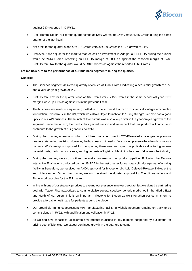

against 23% reported in Q3FY21.

- Profit Before Tax or PBT for the quarter stood at ₹269 Crores, up 14% versus ₹236 Crores during the same quarter of the last fiscal.
- Net profit for the quarter stood at ₹187 Crores versus ₹169 Crores in Q3, a growth of 11%.
- However, if we adjust for the mark-to-market loss on investment in Adagio, our EBITDA during the quarter would be ₹614 Crores, reflecting an EBITDA margin of 28% as against the reported margin of 24%. Profit Before Tax for the quarter would be ₹346 Crores as against the reported ₹269 Crores.

#### **Let me now turn to the performance of our business segments during the quarter.**

#### **Generics**:

- The Generics segment delivered quarterly revenues of ₹607 Crores indicating a sequential growth of 15% and a year-on-year growth of 7%.
- Profit Before Tax for the quarter stood at ₹67 Crores versus ₹53 Crores in the same period last year. PBT margins were up 11% as against 9% in the previous fiscal.
- The business saw a robust sequential growth due to the successful launch of our vertically integrated complex formulation, Everolimus, in the US, which was also a Day-1 launch for its 10 mg strength. We also had a good uptick in our API business. The launch of Everolimus was also a key driver in the year-on-year growth of the segment. Since the launch, the product has gained traction and we expect that this product will continue to contribute to the growth of our generics portfolio.
- During the quarter, operations, which had been impacted due to COVID-related challenges in previous quarters, started normalizing. However, the business continued to face pricing pressure headwinds in various markets. While margins improved for the quarter, there was an impact on profitability due to higher raw material costs, particularly solvents, and higher costs of logistics. I think, this has been felt across the industry.
- During the quarter, we also continued to make progress on our product pipeline. Following the Remote Interactive Evaluation conducted by the US FDA in the last quarter for our oral solid dosage manufacturing facility in Bengaluru, we received an ANDA approval for Mycophenolic Acid Delayed-Release Tablet at the end of November. During the quarter, we also received the dossier approval for Everolimus tablets and Fingolimod capsules for the EU market.
- In line with one of our strategic priorities to expand our presence in newer geographies, we signed a partnering deal with Tabuk Pharmaceuticals to commercialize several specialty generic medicines in the Middle East and North Africa region. This is an important milestone for Biocon as we strengthen our commitment to provide affordable healthcare for patients around the globe.
- Our greenfield Immunosuppressant API manufacturing facility in Vishakhapatnam remains on track to be commissioned in FY22, with qualification and validation in FY23.
- As we add new capacities, accelerate new product launches in key markets supported by our efforts for driving cost efficiencies, we expect continued growth in the quarters to come.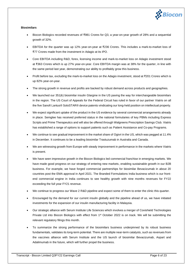

#### **Biosimilars**

- Biocon Biologics recorded revenues of ₹981 Crores for Q3, a year-on-year growth of 28% and a sequential growth of 32%.
- EBITDA for the quarter was up 12% year-on-year at ₹236 Crores. This includes a mark-to-market loss of ₹77 Crores made from the investment in Adagio at its IPO.
- Core EBITDA including R&D, forex, licensing income and mark-to-market loss on Adagio investment stood at ₹363 Crores which is up 27% year-on-year. Core EBITDA margin was at 38% for the quarter, in line with the same period last year, demonstrating our ability to profitably grow this business.
- Profit before tax, excluding the mark-to-market loss on the Adagio investment, stood at ₹201 Crores which is up 82% year-on-year.
- The strong growth in revenue and profits are backed by robust demand across products and geographies.
- We launched our 351(k) biosimilar insulin Glargine in the US paving the way for interchangeable biosimilars in the region. The US Court of Appeals for the Federal Circuit has ruled in favor of our partner Viatris on all the five Sanofi Lantus® SoloSTAR® device patents vindicating our long-held position on intellectual property.
- We expect significant uptake of the product in the US evidence by several commercial arrangements already in place. Semglee has received preferred status in the national formularies of key PBMs including Express Scripts and Prime Therapeutics and will also be offered through Walgreens Prescription Savings Club. Viatris has established a range of options to support patients such as Patient Assistance and Co-pay Programs.
- We continue to see gradual improvement in the market share of Ogivri in the US, which was pegged at 11.4% in December. It continues to be a leading biosimilar Trastuzumab in Australia and Canada.
- We are witnessing growth from Europe with steady improvement in performance in the markets where Viatris is present.
- We have seen impressive growth in the Biocon Biologics led commercial franchise in emerging markets. We have made good progress on our strategy of entering new markets, enabling sustainable growth in our B2B business. For example, we have forged commercial partnerships for biosimilar Bevacizumab in about 20 countries post the EMA approval in April 2021. The Branded Formulations India business which is our frontend commercial engine in India continues to see healthy growth with nine months revenues for FY22 exceeding the full year FY21 revenue.
- We continue to progress our Wave 2 R&D pipeline and expect some of them to enter the clinic this quarter.
- Encouraged by the demand for our current insulin globally and the pipeline ahead of us, we have initiated investments for the expansion of our insulin manufacturing facility in Malaysia.
- Our strategic alliance with Serum Institute Life Sciences which involves a merger of Covishield Technologies Private Ltd into Biocon Biologics with effect from 1<sup>st</sup> October 2022 is on track. We will be submitting the relevant regulatory filings this month.
- To summarize the strong performance of the biosimilars business underpinned by its robust business fundamentals, validates its long-term potential. There are multiple near-term catalysts, such as revenues from the vaccines alliance with Serum Institute and the US launch of biosimilar Bevacizumab, Aspart and Adalimumab in the future, which will further propel the business.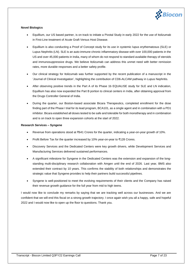

#### **Novel Biologics**

- Equillium, our US based partner, is on track to initiate a Pivotal Study in early 2022 for the use of Itolizumab in First-Line treatment of Acute Graft Versus Host Disease.
- Equillium is also conducting a Proof of Concept study for its use in systemic lupus erythematosus (SLE) or Lupus Nephritis (LN). SLE is an auto-immune chronic inflammatory disease with over 100,000 patients in the US and over 45,000 patients in India, many of whom do not respond to standard available therapy of steroids and immunosuppressive drugs. We believe Itolizumab can address this unmet need with better remission rates, more durable responses and a better safety profile.
- Our clinical strategy for Itolizumab was further supported by the recent publication of a manuscript in the 'Journal of Clinical Investigation', highlighting the contribution of CD6-ALCAM pathway in Lupus Nephritis.
- After observing positive trends in the Part A of its Phase 1b EQUALISE study for SLE and LN indication, Equillium has also now expanded the Part B portion to clinical centers in India, after obtaining approval from the Drugs Controller General of India.
- During the quarter, our Boston-based associate Bicara Therapeutics, completed enrollment for the dose finding part of the Phase I trial for its lead program, BCA101, as a single agent and in combination with a PD1 inhibitor. Bicara established all doses tested to be safe and tolerable for both monotherapy and in combination and is on track to open three expansion cohorts at the start of 2022.

#### **Research Services – Syngene**

- Revenue from operations stood at ₹641 Crores for the quarter, indicating a year-on-year growth of 10%.
- Profit Before Tax for the quarter increased by 10% year-on-year to ₹128 Crores.
- Discovery Services and the Dedicated Centers were key growth drivers, while Development Services and Manufacturing Services delivered sustained performances.
- A significant milestone for Syngene in the Dedicated Centers was the extension and expansion of the longstanding multi-disciplinary research collaboration with Amgen until the end of 2026. Last year, BMS also extended their contract by 10 years. This confirms the stability of both relationships and demonstrates the strategic value that Syngene provides to help their partners build successful pipelines.
- Syngene is well-positioned to meet the evolving requirements of their clients and the Company has raised their revenue growth guidance for the full year from mid to high teens.

I would now like to conclude my remarks by saying that we are tracking well across our businesses. And we are confident that we will end this fiscal on a strong growth trajectory. I once again wish you all a happy, safe and hopeful 2022 and I would now like to open up the floor to questions. Thank you.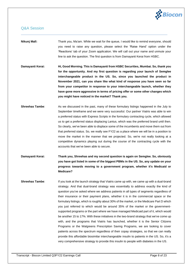

## Q&A Session

# **Nikunj Mall:** Thank you, Ma'am. While we wait for the queue, I would like to remind everyone, should you need to raise any question, please select the 'Raise Hand' option under the 'Reactions' tab of your Zoom application. We will call out your name and unmute your line to ask the question. The first question is from Damayanti Kerai from HSBC.

**Damayanti Kerai: Hi, Good Morning. This is Damayanti from HSBC Securities, Mumbai. So, thank you for the opportunity. And my first question is regarding your launch of Semglee interchangeable product in the US. So, since you launched the product in November 2021, can you share like what kind of response you have seen so far from your competitor in response to your interchangeable launch, whether they have gone more aggressive in terms of pricing offer or some other changes which you might have noticed in the market? Thank you.**

**Shreehas Tambe:** As we discussed in the past, many of these formulary listings happened in the July to September timeframe and we were very successful. Our partner Viatris was able to win a preferred status with Express Scripts in the formulary contracting cycle, which allowed us to get a preferred status displacing Lantus, which was the preferred brand until then. So clearly, we've been able to displace some of the incumbents and move them out from that preferred status. So, we really see FY22 as a place where we will be in a position to move the market in the manner that we projected. So, we're not really looking at a competitive dynamics playing out during the course of the contracting cycle with the accounts that we've been able to secure.

**Damayanti Kerai: Thank you, Shreehas and my second question is again on Semglee. So, obviously you have got listed in some of the biggest PBMs in the US. So, any update on your progress towards moving to a government program, whether it's Medicaid or Medicare?**

**Shreehas Tambe:** If you look at the launch strategy that Viatris came up with, we came up with a dual-brand strategy. And that dual-brand strategy was essentially to address exactly the kind of question you've asked where we address patients in all types of segments regardless of their insurance or their payment plans, whether it is in the commercial space or the formulary listings, which is roughly about 30% of the market, or the Medicare Part D which you just referred to which would be around 35% of the market or the governmentsupported programs or the part where we have managed Medicaid part of it, which would be another 15 to 17%. With these initiatives in the two-brand strategy that we've come up with, and the programs that Viatris has launched, whether it is the Senior Citizens Programs or the Walgreens Prescription Saving Programs, we are looking to cover patients across the spectrum regardless of their copay strategies, so that we can really provide this affordable biosimilar interchangeable insulin to patients in the US. So, it's a very comprehensive strategy to provide this insulin to people with diabetes in the US.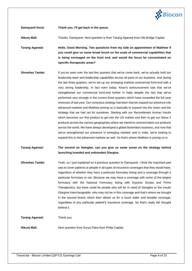

**Damayanti Kerai: Thank you. I'll get back in the queue.**

**Nikunj Mall:** Thanks, Damayanti. Next question is from Tarang Agarwal from Old Bridge Capital.

**Tarang Agarwal: Hello, Good Morning. Two questions from my side on appointment of Matthew if you could give us some broad brush on the scale of commercial capabilities that is being envisaged on the front end, and would the focus be concentrated on specific therapeutic areas?**

**Shreehas Tambe:** If you've seen over the last few quarters that we've come back, we've actually built our leadership team and leadership capabilities across all parts of our business. And during the last three quarters, we've set up our emerging markets commercial front-end with a very strong leadership. In fact even today, Kiran's announcement saw that we've strengthened our commercial front-end further in India despite the fact that we've performed very strongly in the current three quarters which have exceeded the full year revenues of last year. Our conscious strategy has been that we expand our presence into advanced markets and Matthew joining us is basically to expand into the vision and the strategy that we had set for ourselves. Starting with our Recombinant Human Insulin which becomes our first product to get into the US market and then to get our Wave 2 products across the various geographies where we intend to commercialize our products across the world. We have always developed a global biosimilars business, and now that we've strengthened our presence in emerging markets and in India, we're looking to expand this to the advanced markets as well. So that's where Matthew is joining us in.

**Tarang Agarwal: The second on Semglee, can you give us some sense on the strategy behind launching branded and unbranded Glargine.**

**Shreehas Tambe**: Yeah, so I just explained on a previous question to Damayanti. I think the important part was to cover patients or people in all types of insurance coverages that they would have, regardless of whether they have a particular formulary listing and a coverage through a particular formulary or not. Because we may have a coverage with some of the largest formulary with the National Formulary listing with Express Scripts and Prime Therapeutics, but there could be people who will be in need of Semglee or the insulin Glargine interchangeable, who may not be in this coverage and that's where we brought in the second brand, which then allows us for a much wider and broader coverage, regardless of any particular patient's insurance coverage. So that's really the thought behind it.

**Tarang Agarwal:** Thank you.

**Nikunj Mall:** Next question from Surya Patra from Philip Capital.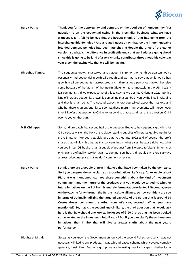

**Surya Patra: Thank you for the opportunity and congrats on the good set of numbers, my first question is on the sequential swing in the biosimilar business what we have witnessed. Is it fair to believe that the largest chunk of that has come from the interchangeable Semglee? And a related question on that, so the interchangeable branded version, Semglee has been launched at double the price of the earlier version, so what is the difference in profit efficiency that we'll witness going ahead since this is going to be kind of a very chunky contributor throughout this calendar year given the exclusivity that we will be having?**

- **Shreehas Tambe**: The sequential growth that we've talked about, I think for the last three quarters we've essentially had sequential growth all through and we had to say that while we've had growth in all our segments - across products, I think a large part of our growth has also come because of the launch of the insulin Glargine interchangeable in the US, that's a fair comment. And we expect some of this to stay as we get into Calendar 2022. So this kind of increase sequential growth is something that can be driven by the insulin Glargine and that is a fair point. The second aspect where you talked about the markets and whether there is an opportunity to see that these margin improvements will happen over time. I'll defer that question to Chinni to respond to that second half of the question. Chini over to you on that part.
- **M.B Chinappa:** Sorry, I didn't catch that second half of the question. But yes, the sequential growth is for Q3 particularly is on the back of the bigger starting supplies of interchangeable insulin for the US market. We see that picking up as you go into 2022 and of course, the profit shares that will flow through as this converts into market sales, because right now what you see in our Q3 books is just a supply of product from Biologics to Viatris. In terms of pricing and profitability, we don't want to comment on that. And I would say, there's always a gross price / net price, but we don't comment on pricing.
- **Surya Patra: I think there are a couple of new initiatives that have been taken by the company. So if you can provide some clarity on those initiatives. Let's say, for example, about PLI that was mentioned, can you share something about the kind of investment commitment and the nature of the products that you would be targeting, whether future initiatives on the PLI front is entirely fermentation-oriented? Secondly, even on the vaccine foray through the Serum Institute alliance, so how confident are you in terms of optimally utilizing the targeted capacity of the Serum that is around 10 Crores doses per annum, starting from let's say, second half as you have mentioned? So, that is the second and similarly, the third question that I would ask here is that how should one look at the losses of ₹150 Crores that has been booked so far related to the investment into Bicara? So, if you can clarify these three new initiatives, then I think that will give a greater clarity about the next year's performance.**

**Siddharth Mittal:** Surya, as you know, the Government announced the second PLI scheme which was not necessarily linked to any products. It was a broad-based scheme which covered complex generics, biosimilars. And as a group, we are investing heavily in capex whether it's in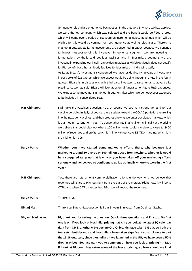

Syngene or biosimilars or generics businesses. In the category B, where we had applied, we were the top company which was selected and the benefit would be ₹250 Crores, which will come over a period of six years on incremental sales. Revenues which will be eligible for this would be coming from both generics as well as biosimilars. There's no change in strategy as far as investments are concerned in capex because we continue to invest irrespective of this incentive. In generics segment, we are investing in fermentation, synthetic and peptides facilities and in Biosimilars segment, we are investing in expanding our insulin capacities in Malaysia, which obviously does not qualify for PLI benefit but other antibody facilities for biosimilars in India will qualify. As far as Bicara's investment is concerned, we have residual carrying value of investment in our books of ₹25 Crores, which we expect would be going through the P&L in the fourth quarter. Bicara is in discussions with third party investors to raise funds to advance its pipeline. As we had said, Bicara will look at external fundraise for future R&D expenses.

We expect some movement in the fourth quarter, after which we do not expect expenses

**M.B Chinappa:** I will take the vaccines question. Yes, of course we see very strong demand for our vaccine portfolio. Initially, of course, there's a bias toward the COVID portfolio, then rolling into the next-gen vaccines, and then progressively as we enter developed markets, which is our medium to long-term plan. To convert that into financial terms, initially at the pricing we believe this could play out where 100 million units could translate to close to \$400 million of revenues and profits, which is in-line with our core EBITDA margins, which is in the mid to high 30s.

to be included in consolidated P&L.

- **Surya Patra: Whether you have started some marketing efforts there, why because just marketing around 10 Crores or 100 million doses from nowhere, whether it would be a staggered ramp up that is why or you have taken off your marketing efforts seriously and hence, you're confident to utilize optimally where we were in the first year?**
- **M.B Chinappa:** Yes, there are lots of joint commercialization efforts underway. And we believe that revenues will start to play out right from the start of the merger. Right now, it will be to CTPL and when CTPL merges into BBL, we will record the revenues.

**Surya Patra:** Thanks a lot.

**Nikunj Mall:** Thank you Surya. Next question is from Shyam Srinivasan from Goldman Sachs.

**Shyam Srinivasan: Hi, thank you for taking my question. Quick, three questions and I'll stop. So first one is on, if you look at biosimilar pricing that is if you look at the latest 3Q calendar data from CMS, another 6-7% decline Q-o-Q, brands have taken 3% cut, so both the two sets - both brands and biosimilars have taken significant cuts. If I were to plot the 15-16 quarters, since biosimilars have launched in the US, we have seen a 50% drop in prices. So, just want you to comment on how you look at pricing? In fact, if I look at Biocon it has taken some of the lesser pricing, so how should we kind**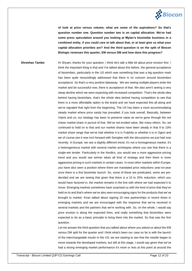

**of look at price versus volume, what are some of the aspirations? So that's question number one. Question number two is on capital allocation. We've had some press speculation around you looking at Mylan's biosimilar business in a combined entity, if you could care to talk about that, or at least give us what your capital allocation priorities are? And the third question is on the split of Biocon Biologic revenues this quarter, EM versus DM and how does this progress?** 

**Shreehas Tambe:** Hi Shyam, thanks for your question. I think let's talk a little bit about price erosion first. I think the important thing is that and I've talked about this before, the general acceptance of biosimilars, particularly in the US which was something that was a big question mark has been quite resoundingly addressed that there is no concern around biosimilars acceptance. So that's a very positive takeaway. We are seeing multiple players enter the market and be successful now, there is acceptance of that. We also aren't seeing a very steep decline which we were expecting with increased competition. That's the whole idea behind having biosimilars, that's the whole idea behind having competition to see that there is a more affordable option to the brand and we have expected this all along and we've signaled that right from the beginning. The US has been a more accommodating steady market where price sanity has prevailed, if you look overall. Basically, between Viatris and us, our strategy has been to preserve value as we've gone through the not chase market share in pursuit of that. We've not eroded value, like many others. So, we continued to hold on to that and our market shares have been steady in that 8 to 10% market share range that we've had whether it is in Fulphila or whether it is in Ogivri and we of course see it now inch forward with Semglee with the discussions we just had now recently. In Europe, we see a slightly different trend, it's not a homogeneous market, it's a heterogeneous market with several market archetypes where you see that there is a single-win tender. Particularly in the Nordics, you would see a more aggressive pricing trend and you would see winner takes all kind of strategy and then there is more aggressive pricing in such markets in certain cases. In most other markets within Europe, you have also seen a position where there are mandated price reductions year-on-year once there is a first biosimilar launch. So, some of these are predicated, some are predecided and we are seeing that given that there is a 10 to 25% reduction, which you would have factored in, the market remains in the line with where we had expected it to move. Emerging markets sometimes have surprised us with the kind of price that they've held on to and that's where we've also seen encouraging signs for the products that we've brought to market. Kiran talked about signing 20 new partnerships in recent times in emerging markets and we are encouraged with the response that we've received in several markets and the partners that we're working with. So, on the whole, I would say price erosion is along the expected lines, and really something that biosimilars were expected to do as a basic principle to bring them into the market. So that was the first question.

> Let me answer the third question that you talked about where you asked us about the EM versus DM split for the quarter and I think what's been our case so far is with the launch of the interchangeable insulin in the US, we are starting to see that the needle began to move towards the developed markets, but still at this stage, I would say given that we've had a strong emerging market performance it's more or less at this point at around the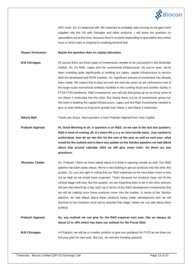

50% mark. So, it's balanced still. We expected to probably start moving as we gain more supplies into the US with Semglee and other products. I will leave the question on speculation out at this time, because there's no point responding to speculation but unless Arun or Kiran want to respond to anything beyond that.

#### **Shyam Srinivasan: Maybe the question then on capital allocation.**

**M.B Chinappa:** Of course there are three types of investments needed to be successful in the biosimilar market. So, it's R&D, capex and the commercial infrastructure. As you've seen, we've been investing quite significantly in building our capex, capital infrastructure to service both the developed and ROW markets. So, significant amount of investment has already been made. We expect that to play out over the next two years as we commission one of the large-scale monoclonal antibody facilities in the coming fiscal and another facility in FY24-FY25 timeframe. R&D investments, you will see that going up as we bring some of our Wave 2 molecules into the clinic. But clearly there is a lot of investments going into this both in building the capital infrastructure, capex and the R&D investments needed to give us that medium to long term growth from Wave 2 and Wave 3 molecules.

**Nikunj Mall:** Thank you Surya. Next question is from Prakash Agarwal from Axis Capital.

**Prakash Agarwal: Hi, Good Morning to all. A question is on R&D, so we saw in the last two quarters, R&D is kind of coming off. It's down 5% y-o-y on nine-month basis. Just wanted to understand, how do we see this for the rest of the year as well as next year, what would be the outlook and is there any update on the Sandoz pipeline, we had talked about that around calendar 2022 we will give some color. So these are two questions.**

**Shreehas Tambe:** So, Prakash I think we have talked about it in Kiran's opening remark as well. Our R&D pipeline has been quite robust. We're in fact looking to get our products into the clinic this quarter. So, you are right in noting that our R&D expenses so far have been more or less not as high as we would have expected. That's because our products have not hit the clinical stage until now. But this quarter, we are expecting them to be in the clinic and you will see that there'll be a big catch up in terms of the R&D development investments that we will be making once these products move into the market. In terms of the Sandoz pipeline, we had talked about these products being under development and we will disclose to the investors once we've reached that stage, where we can talk about them publicly.

**Prakash Agarwal: So, any outlook we can give for the R&D expense next year, like we always do about 12 to 15% which has been our outlook for the Fiscal 2022.**

**M.B Chinappa:** Hi Prakash, we will be in a better position to give you guidance for FY23 as we draw our full-year plan for next year. But yes, we see this trending upwards.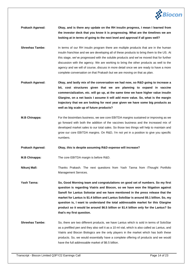

- **Prakash Agarwal: Okay, and is there any update on the RH insulin progress, I mean I learned from the investor deck that you know it is progressing. What are the timelines we are looking at in terms of going to the next level and approval if all goes well?**
- **Shreehas Tambe:** In terms of our RH insulin program there are multiple products that are in the human insulin franchise and we are developing all of these products to bring them to the US. At this stage, we've progressed with the soluble products and we've moved that for further discussion with the agency. We are working to bring the other products as well to the agency and we will of course, discuss in more detail once we are ready to have a more complete conversation on that Prakash but we are moving on that as plan.
- **Prakash Agarwal: Okay, and lastly mix of the conversation we had now, so R&D going to increase a bit, cost structures given that we are planning to expand in vaccine commercialization, etc. will go up, at the same time we have higher value insulin Glargine, on a net basis I assume it will add more value. So, what is the margin trajectory that we are looking for next year given we have some big products as well as big scale up of future products?**
- **M.B Chinappa:** For the biosimilars business, we see core EBITDA margins sustained or improving as we go forward with both the addition of the vaccines business and the increased mix of developed market sales to our total sales. So those two things will help to maintain and grow our core EBITDA margins. On R&D, I'm not yet in a position to give you specific numbers.

**Prakash Agarwal: Okay, this is despite assuming R&D expense will increase?**

**M.B Chinappa:** The core EBITDA margin is before R&D.

**Nikunj Mall:** Thanks Prakash. The next questions from Yash Tanna from iThought Portfolio Management Services.

**Yash Tanna: So, Good Morning team and congratulations on good set of numbers. So my first question is regarding Viatris and Biocon, so we have won the litigation against Sanofi for Lantus Solostar and we have mentioned in the press release that the market for Lantus is \$1.4 billion and Lantus SoloStar is around \$5.1 billion. So, my question is, I want to understand the total addressable market for this Glargine product so it would be around \$6.5 billion or \$1.4 billion only for the Lantus? So that's my first question.**

**Shreehas Tambe:** So, there are two different products, we have Lantus which is sold in terms of SoloStar as a prefilled pen and they also sell it as a 10 ml vial, which is also called as Lantus, and Viatris and Biocon Biologics are the only players in the market which has both these products. So, we would essentially have a complete offering of products and we would have the full addressable market of \$6.5 billion.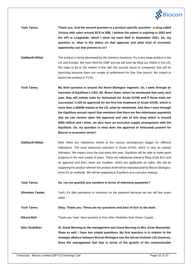

- **Yash Tanna: Thank you. And the second question is a product-specific question - a drug called Victoza with sales around \$2.8 to \$3B. I believe the patent is expiring in 2023 and the API is Liraglutide, which I think we have filed in September 2021. So, my question is, what is the status on that approval and what kind of economic opportunity can that present to us?**
- **Siddharth Mittal:** The product is being developed by the Generics business. It's a very large product in the US and Europe. We have filed the DMF and we will soon be filing our ANDA in the US. We hope to be in the market in-line with the second round of companies that will be launching because there are couple of settlements for Day One launch. We expect to launch the product in FY25.
- **Yash Tanna: My third question is around the Novel Biologics segment. So, I went through an interview of Equillium's CEO, Mr. Bruce Steel, where he mentioned that early next year, they will initiate trials for Itolizumab for Acute GVHD and if those trials are successful, it will be approved for the first line treatment of Acute GVHD, which is more than a \$500M market in the US, what he mentioned. And then I went through the Equillium annual report that mentions that there are few milestones payments that we can receive upon the approval and sale of this drug which is around \$550 million and I think, we also have an exclusive supply arrangement with the Equillium. So, my question is what does the approval of Itolizumab present for Biocon in economic terms?**
- **Siddharth Mittal:** Well, there are milestones linked to the various development stages for different indications. The most advanced indication is Acute GVHD, which is also an orphan indication. We expect once the trial starts this year, Equillium will be able to make good progress in the next couple of years. There are milestones linked to filing of the BLA and its approval and then, there are royalties, which are applicable on sales. We will be supplying the product wherein the product itself will be manufactured by Biocon Biologics, since it's an antibody. We will be supplying to Equillium at a cost-plus markup.
- **Yash Tanna: So, can we quantify any numbers in terms of milestone payments?**

**Shreehas Tambe:** Yash, it's little premature to comment on the payment because we are still few years away.

**Yash Tanna: Okay. Thank you. These are my questions and best of luck to the team.**

**Nikunj Mall:** Thank you Yash. Next question is from Nitin Shakdher from Green Capital.

**Nitin Shakdher: Hi, Good Morning to the management and Good Morning to Mrs. Kiran Mazumdar-Shaw as well. I have two simple questions. My first question is in relation to the strategic alliance between Biocon Biologics and the Serum Institute Life Sciences. Does the management feel that in terms of the growth of the communicable**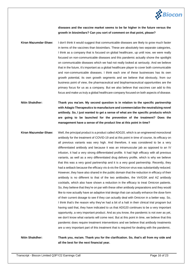

**diseases and the vaccine market seems to be far higher in the future versus the growth in biosimilars? Can you sort of comment on that point, please?**

- **Kiran Mazumdar-Shaw:** I don't think it would suggest that communicable diseases are likely to grow much faster in terms of the vaccines than biosimilars. These are absolutely two separate categories, I think as a company that is focused on global healthcare, up until now, we were really focused on non-communicable diseases and this pandemic actually shone the spotlight on communicable diseases which we had not really looked at seriously. And we believe that in the future, it's important as a global healthcare player to cover both communicable and non-communicable diseases. I think each one of these businesses has its own growth potential, its own growth segments and we believe that obviously, from our business point of view, the pharmaceutical and biopharmaceutical opportunities are the primary focus for us as a company. But we also believe that vaccines can add to this focus and make us truly a global healthcare company focused on both aspects of disease.
- **Nitin Shakdher: Thank you ma'am. My second question is in relation to the specific partnership with Adagio Therapeutics to manufacture and commercialize the neutralizing novel antibody. So, I just wanted to get a sense of what are the specific products which are going to be launched for the prevention of the treatment? Does the management have a sense of the product line at this point in time?**
- **Kiran Mazumdar-Shaw:** Well, the principal product is a product called ADG20, which is an engineered monoclonal antibody for the treatment of COVID-19 and at this point in time of course, its efficacy on all previous variants was very high. And therefore, it was considered to be a very differentiated antibody and because it was an intramuscular jab as opposed to an IV infusion, it had a very strong differentiated profile. It had high efficacy with all previous variants, as well as a very differentiated drug delivery profile, which is why we believe that this was a very good partnership and it is a very good partnership. Recently, they had a setback because the efficacy vis-à-vis the Omicron virus was substantially reduced. However, they have also shared in the public domain that the reduction in efficacy of their antibody is no different to that of the two antibodies, the Vir/GSK and AZ antibody cocktails, which also have shown a reduction in the efficacy to treat Omicron patients. So, they believe that they're on par with these other antibody preparations and they would like to now actually have an adaptive trial design that can actually enhance the dose form of their current dosage to see if they can actually deal with Omicron in a better way. So, I think that's the reason why they've had a bit of a halt in their clinical trial program but having said that, they have indicated to us that ADG20 continues to be a very important opportunity, a very important product. And as you know, the pandemic is not over as yet, we don't know what variants will come next. But at this point in time, we believe that this pandemic does require treatment interventions and we believe that antibody treatments are a very important part of this treatment that is required for dealing with the pandemic.

**Nitin Shakdher: Thank you, ma'am. Thank you for the clarification. So, that's all from my side and all the best for the next financial year.**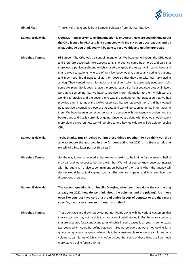

**Nikunj Mall:** Thanks Nitin. Next one is from Sameer Baisiwala from Morgan Stanley.

- **Sameer Baisiwala: Good Morning everyone. My first question is on Aspart. How are you thinking about the CRL issued by FDA and is it connected with the six open observations and by what point do you think you will be able to resolve this and get the approval?**
- **Shreehas Tambe:** Hi Sameer. The CRL was a disappointment for us. We have gone through the CRL letter and there are essentially two aspects to it. The agency came back to us and said that there was a particular diluent, which is used alongside the Aspart vial that we have and that is given to patients who are of very low body weight, particularly pediatric patients and they need this diluent to dilute their dose so that they can take that rapid acting analog. They wanted more information of that diluent which is essentially used along with some excipient. So, it doesn't have the product at all. So, it's a separate product in itself. So that is something that we have to provide more information to them which we are working to provide and the second one was the updates on the inspection that we had provided them in terms of the CAPA responses that we had given them. And they wanted us to provide a complete piece of that data and we will be submitting that information to them. We have been in correspondence and dialogue with the agency to understand the background and that is currently ongoing. Once we are done with that, we should have a more clear picture on how we will be able to and how quickly we will be able to resolve CRL.
- **Sameer Baisiwala: Yeah, thanks. But Shreehas putting these things together, do you think you'd be able to secure the approval in time for contracting for 2023 or is there a risk that we will slip into later part of this year?**
- **Shreehas Tambe:** So, the way it was scheduled is that we were looking to be in time for the second half of the year and we expect to be there with that. We will of course know once we interact with the agency. To give a commitment on behalf of them, and when the agency will decide would be actually going too far. But we are hopeful and let's see how the discussions progress.
- **Sameer Baisiwala: The second question is on insulin Glargine, when you have done the contracting already for 2022, how do we think about the volumes and the pricing? Are these open like you just have sort of a broad umbrella sort of contract or are they more specific, if you can share your thoughts on this?**
- **Shreehas Tambe:** These contracts are drawn up by our partner Viatris along with the various customers that they've got. We may not be able to share a lot of detail around it. But these are contracts that are executed for a contracting term, which is in some cases is an year, in some cases two years which could be defined as such. But we believe that we're not looking for a quarter on quarter change or believe this to be a sustainable revenue stream for us, or a volume stream for us which is why we've guided that some of these things will be much more steady going forward for us.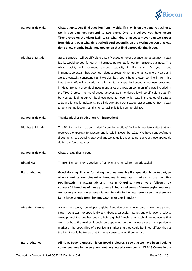

- **Sameer Baisiwala: Okay, thanks. One final question from my side, if I may, is on the generic business. So, if you can just respond to two parts. One is I believe you have spent ₹600 Crores on the Vizag facility. So what kind of asset turnover can we expect from this and over what time period? And second is on the PAI inspection that was done a few months back - any update on that final approval? Thank you.**
- **Siddharth Mittal:** Sure, Sameer. It will be difficult to quantify asset turnover because the output from Vizag facility would go both for our API business as well as for our formulations business. The Vizag facility will augment existing capacity in Bangalore. As you know, immunosuppressant has been our biggest growth driver in the last couple of years and we are capacity constrained and we definitely see a huge growth coming in from this investment. We will also add more fermentation capacity beyond immunosuppressants in Vizag. Being a greenfield investment, a lot of capex on common infra was included in the ₹600 Crores. In terms of asset turnover, as I mentioned it will be difficult to quantify but you can look at our API business' asset turnover which was in the range of 1.25x to 1.5x and for the formulations, it's a little over 2x. I don't expect asset turnover from Vizag to be anything lesser than this, once facility is fully commercialized.

#### **Sameer Baisiwala: Thanks Siddharth. Also, on PAI inspection?**

- **Siddharth Mittal:** The PAI inspection was concluded for our formulations' facility. Immediately after that, we received the approval for Mycophenolic Acid in November 2021. We have couple of more drugs, which are pending approval and we actually expect to get some of these approvals during the fourth quarter.
- **Sameer Baisiwala: Okay, great. Thank you.**

**Nikunj Mall:** Thanks Sameer. Next question is from Harith Ahamed from Spark capital.

**Harith Ahamed: Good Morning. Thanks for taking my questions. My first question is on Aspart, so when I look at our biosimilar launches in regulated markets in the past like Pegfilgrastim, Trastuzumab and insulin Glargine, those were followed by successful launches of these products in India and some of the emerging markets. So, for Aspart can we expect a launch in India in the near term, I see that there are fairly large brands from the innovator in Aspart in India?**

**Shreehas Tambe:** So, we have always developed a global franchise of whichever product we have picked. Now, I don't want to specifically talk about a particular market but whichever products we've picked, the idea has been to build a global franchise for each of the molecules that we brought to the market. It could be depending on the business cases of a particular market or the specialties of a particular market that they could be timed differently, but the intent would be to see that it makes sense to bring them across.

**Harith Ahamed: All right. Second question is on Novel Biologics. I see that we have been booking some revenues in the segment, not very material number but ₹10-15 Crores in the**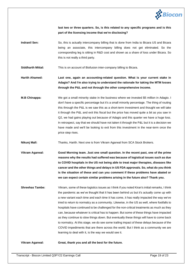

**last two or three quarters. So, is this related to any specific programs and is this part of the licensing income that we're disclosing?**

**Indranil Sen:** So, this is actually intercompany billing that is done from India to Bicara US and Bicara being an associate, this intercompany billing does not get eliminated. So the corresponding leg is sitting in R&D cost and shown as a share of loss under Bicara. So this is not really a third party.

**Siddharth Mittal:** This is on account of Biofusion inter-company billing to Bicara.

**Harith Ahamed: Last one, again an accounting-related question. What is your current stake in Adagio? And I'm also trying to understand the rationale for taking the MTM losses through the P&L and not through the other comprehensive income.**

**M.B Chinappa:** We got a small minority stake in the business where we invested \$5 million in Adagio. I don't have a specific percentage but it's a small minority percentage. The thing of routing this through the P&L is we saw this as a short-term investment and thought we will take it through the P&L and exit this fiscal but the price has moved quite a bit as you saw in Q2, we had gains playing out because of Adagio and this quarter we have a huge loss. In retrospect, say that we should have not taken it through the P&L but it is a decision we have made and we'll be looking to exit from this investment in the near-term once the price step rises.

**Nikunj Mall:** Thanks, Harith. Next one is from Vikram Agarwal from SCA Stock Brokers.

**Vikram Agarwal: Good Morning team. Just one small question. In the recent past, one of the prime reasons why the results had suffered was because of logistical issues such as due to COVID hospitals in the US not being able to treat major therapies, diseases like cancer and the other things and delays in US FDA approvals. So, what do you think is the situation of these and can you comment if these problems have abated or we can expect certain similar problems arising in the future also? Thank you.**

**Shreehas Tambe:** Vikram, some of these logistics issues as I think if you noted Kiran's initial remarks, I think the pandemic as we've thought that it has been behind us but it's actually come up with a new variant each time and each time it has come, it has really impacted the way we've tried to return to normalcy as a community. Likewise, in the US as well, where footfalls to hospitals have continued to be challenged for the non-critical treatments as much as they can, because whatever is critical has to happen. But some of these things have impacted as they continue to slow things down. But eventually these things will have to come back to normalcy. At this stage, we do see some trailing impact of these delays because of the COVID impediments that are there across the world. But I think as a community we are learning to deal with it, is the way we would see it.

**Vikram Agarwal: Great, thank you and all the best for the future.**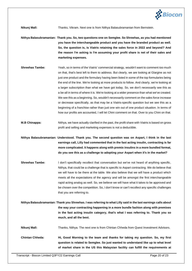

**Nikunj Mall:** Thanks, Vikram. Next one is from Nithya Balasubramanian from Bernstein.

**Nithya Balasubramanian: Thank you. So, two questions one on Semglee. So Shreehas, as you had mentioned you have the interchangeable product and you have the branded product as well. So, the question is, is Viatris retaining the sales force in 2022 and beyond? And the reason I'm asking is I'm assuming your profit share is net of their sales and marketing expenses.**

- **Shreehas Tambe:** Yeah, so in terms of the Viatris' commercial strategy, wouldn't want to comment too much on that, that's best left to them to address. But clearly, we are looking at Glargine as not just one product and the formulary having been listed in some of the top formularies being the end of the line. We're looking at more products to follow. And clearly, we're looking at a larger subscription than what we have got today. So, we don't necessarily see this as a be-all in terms of where it is. We're looking at a wider presence than what we've created. We see this as a beginning. So, wouldn't necessarily comment on the sales force increase or decrease specifically, as that may be a Viatris-specific question but we see this as a beginning of a franchise rather than just one win out of one product situation. In terms of how our profits are accounted, I will let Chini comment on that. Over to you Chini on that.
- **M.B Chinappa:** Nithya, we have actually clarified in the past, the profit share with Viatris is based on gross profit and selling and marketing expenses is not a deductible.
- **Nithya Balasubramanian: Understood. Thank you. The second question was on Aspart, I think in the last earnings call, Lilly had commented that in the fast acting insulin, contracting is far more complicated. It happens along with premix insulins in a more bundled format, do you see this as a challenge to adopting your Aspart when it's in the market?**
- **Shreehas Tambe:** I don't specifically recollect that conversation but we've not heard of anything specific, Nithya, that could be a challenge that is specific to Aspart contracting. We do believe that we will have to be there at the table. We also believe that we will have a product which meets all the expectations of the agency and will be amongst the first interchangeable rapid acting analog as well. So, we believe we will have what it takes to be approved and be chosen over the competition. So, I don't know or can't recollect any specific challenges that you are referring to.
- **Nithya Balasubramanian: Thank you Shreehas. I was referring to what Lilly said in the last earnings calls about the way your contracting happening in a more bundle fashion along with premixes in the fast acting insulin category, that's what I was referring to. Thank you so much, and all the best.**
- **Nikunj Mall:** Thanks, Nithya. The next one is from Chintan Chheda from Quest Investment Advisors.
- **Chintan Chheda: Hi, Good Morning to the team and thanks for taking my question. So, my first question is related to Semglee. So just wanted to understand like up to what level of market share in the US this Malaysian facility can fulfill the requirements at**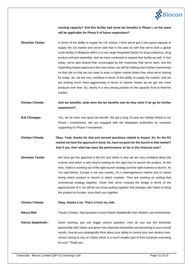

**existing capacity? And this facility had some tax benefits in Phase I, so the same will be applicable for Phase II of future expansions?**

**Shreehas Tambe:** In terms of the ability to supply the US market, I think we've got a very good capacity to supply the US market and we've said that in the past as well that we've built a global scale facility in Malaysia which is a very large integrated facility for drug substance, drug product and pen assembly, and we have continued to expand that facility as well. In fact today, we've also shared that, encouraged by the responses that we've seen, and the impending Aspart approval in the near future, we will be making even further investments on that site so that we can cater to even a higher market share than what we're looking for today. So, we are very confident in terms of the ability to supply the market. And we are looking much more aggressively in terms of volume shares as we get into more products over time. So, clearly in a very strong position on the capacity front to feed the market.

**Chintan Chheda: And tax benefits, what were the tax benefits and do they stick if we go for further expansions?**

- **M.B Chinappa:** Yes, we do have very good tax benefit. We got a long 15-year tax holiday linked to our Phase I investments. We are engaged with the Malaysian authorities for incentive supporting for Phase II investment.
- **Chintan Chheda: Okay. Yeah, thanks for that and second questions related to Aspart. So, for the EU market we have the approval in hand. So, have we gone for the launch in that market? And if yes, then what has been the performance so far in this financial year?**
- **Shreehas Tambe:** We have got the approval in the EU and which is why we are very confident about the science and which is why they're looking for the right time to launch the product. At this time, Viatris is working out of the right launch strategy and the right markets to launch. As I've said before, Europe is not one country, it's a heterogeneous market and it's about timing which product to launch in which markets. They are working on putting that commercial strategy together. Given that we've crossed the bridge in terms of the approval part of it, we will be you know putting together that strategy with Viatris to bring the product to Europe, once that's put together.

**Chintan Chheda: Okay, thanks a lot. That's it from my side.**

**Nikunj Mall:** Thanks Chintan. Next question is from Patrick Stadelhofer from Atlantic Lion Investments.

**Patrick Stadelhofer:** Good morning, just one bigger picture question. How do you see the biosimilar partnership with Viatris and given how important biosimilars are becoming to your overall results, how do you strategically think about your ability to control your own destiny here, versus having to rely on Viatris which is a much smaller part of their business executing for you? Thank you.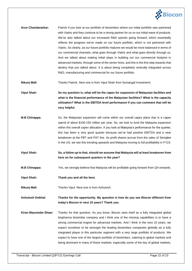

- **Arun Chandavarkar:** Patrick if you look at our portfolio of biosimilars where our initial portfolio was partnered with Viatris and they continue to be a strong partner for us on our initial wave of products. We've also talked about our increased R&D spends going forward, which essentially reflects the progress we've made on our future portfolio, which is not partnered with Viatris. So clearly, as our future portfolio matures we would be more balanced in terms of our commercial channels, what goes through Viatris and what goes directly through us. And we talked about making initial steps in building out our commercial footprint in advanced markets, through some of the senior hires, and this is the first step towards that destiny that you talked about. It is about being completely vertically integrated across R&D, manufacturing and commercial for our future portfolio.
- **Nikunj Mall:** Thanks Patrick. Next one is from Vipul Shah from Sumangal Investment.

**Vipul Shah: So my question is, what will be the capex for expansion of Malaysian facilities and what is the financial performance of the Malaysian facilities? What is the capacity utilization? What is the EBITDA level performance if you can comment that will be very helpful.**

- **M.B Chinappa:** So, the Malaysian expansion will come within our overall capex plans that is a capex spend of about \$100-150 million per year. So, we look to fund the Malaysia expansion within this overall capex allocation. If you look at Malaysia's performance for the quarter, this has been a very good quarter because we've had positive EBITDA and a near breakeven at the PBT and PAT line. As profit shares accrue from the sales of Semglee in the US, we see this trending upwards and Malaysia moving to full profitability in FY23.
- **Vipul Shah: So, a follow up to that, should we assume that Malaysia will at least breakeven from here on for subsequent quarters in the year?**
- **M.B Chinappa:** Yes, we strongly believe that Malaysia will be profitable going forward from Q4 onwards.
- **Vipul Shah: Thank you and all the best.**
- **Nikunj Mall:** Thanks Vipul. Next one is from Ashutosh.

**Ashutosh Dobhal: Thanks for the opportunity. My question is how do you see Biocon different from today's Biocon in next 10 years? Thank you.**

**Kiran Mazumdar-Shaw:** Thanks for that question. As you know, Biocon sees itself as a fully integrated global biopharma biosimilar company and I think one of the missing capabilities is to have a strong commercial engine for advanced markets. And I think in the next 10 years, we expect ourselves to be amongst the leading biosimilars companies globally as a fully integrated player in this particular segment with a very large portfolio of products. We expect to have one of the largest portfolio of biosimilars, catering to global markets and being dominant in many of these markets, especially some of the key of global markets,